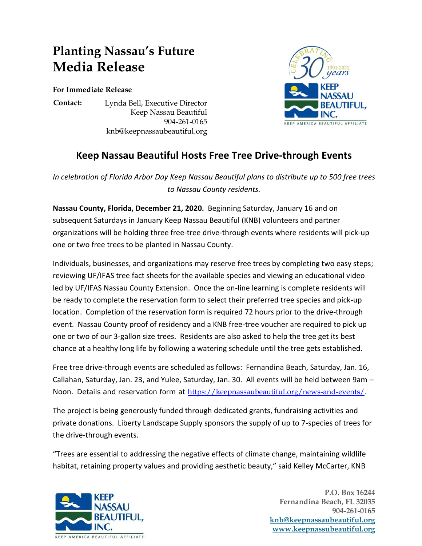## **Planting Nassau's Future Media Release**

**For Immediate Release**

**Contact:** Lynda Bell, Executive Director Keep Nassau Beautiful 904-261-0165 knb@keepnassaubeautiful.org



## **Keep Nassau Beautiful Hosts Free Tree Drive-through Events**

*In celebration of Florida Arbor Day Keep Nassau Beautiful plans to distribute up to 500 free trees to Nassau County residents.*

**Nassau County, Florida, December 21, 2020.** Beginning Saturday, January 16 and on subsequent Saturdays in January Keep Nassau Beautiful (KNB) volunteers and partner organizations will be holding three free-tree drive-through events where residents will pick-up one or two free trees to be planted in Nassau County.

Individuals, businesses, and organizations may reserve free trees by completing two easy steps; reviewing UF/IFAS tree fact sheets for the available species and viewing an educational video led by UF/IFAS Nassau County Extension. Once the on-line learning is complete residents will be ready to complete the reservation form to select their preferred tree species and pick-up location. Completion of the reservation form is required 72 hours prior to the drive-through event. Nassau County proof of residency and a KNB free-tree voucher are required to pick up one or two of our 3-gallon size trees. Residents are also asked to help the tree get its best chance at a healthy long life by following a watering schedule until the tree gets established.

Free tree drive-through events are scheduled as follows: Fernandina Beach, Saturday, Jan. 16, Callahan, Saturday, Jan. 23, and Yulee, Saturday, Jan. 30. All events will be held between 9am – Noon. Details and reservation form at <https://keepnassaubeautiful.org/news-and-events/>.

The project is being generously funded through dedicated grants, fundraising activities and private donations. Liberty Landscape Supply sponsors the supply of up to 7-species of trees for the drive-through events.

"Trees are essential to addressing the negative effects of climate change, maintaining wildlife habitat, retaining property values and providing aesthetic beauty," said Kelley McCarter, KNB



 **P.O. Box 16244 Fernandina Beach, FL 32035 904-261-0165 [knb@keepnassaubeautiful.org](mailto:knb@keepnassaubeautiful.org) [www.keepnassubeautiful.org](http://www.keepnassubeautiful.org/)**